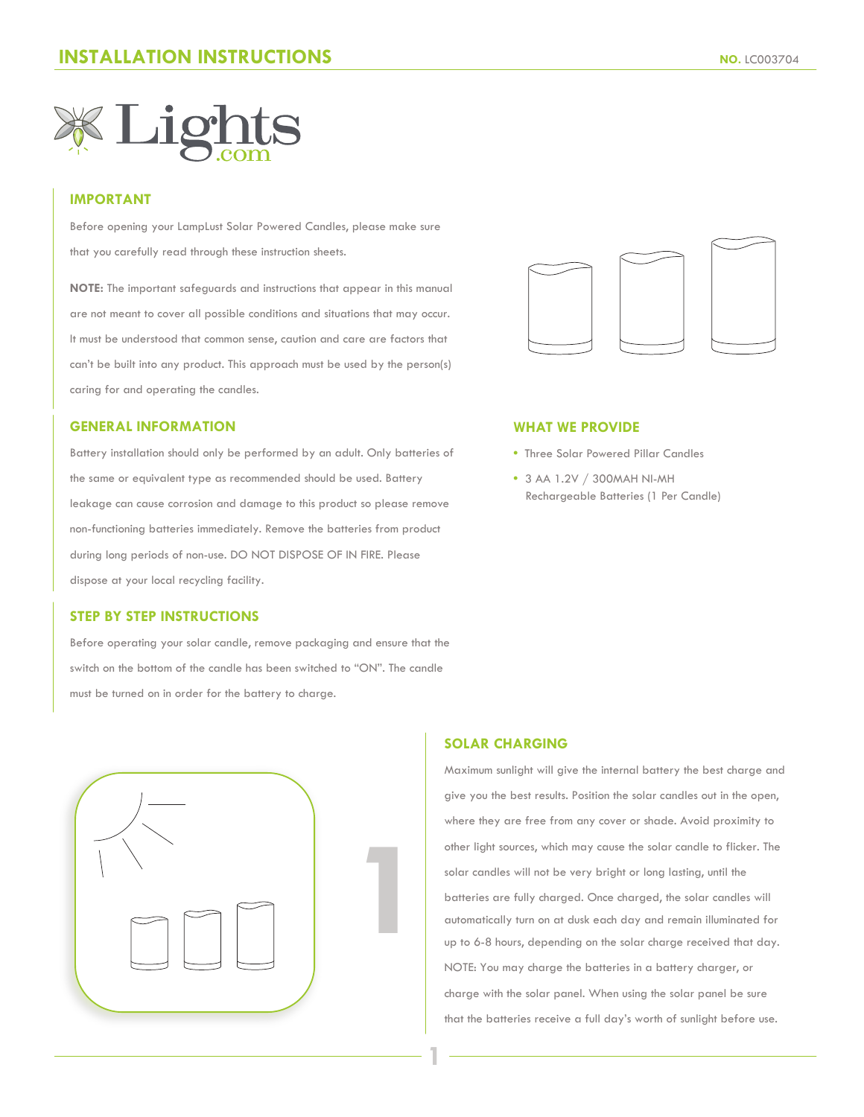

## **IMPORTANT**

Before opening your LampLust Solar Powered Candles, please make sure that you carefully read through these instruction sheets.

**NOTE:** The important safeguards and instructions that appear in this manual are not meant to cover all possible conditions and situations that may occur. It must be understood that common sense, caution and care are factors that can't be built into any product. This approach must be used by the person(s) caring for and operating the candles.

## **GENERAL INFORMATION**

Battery installation should only be performed by an adult. Only batteries of the same or equivalent type as recommended should be used. Battery leakage can cause corrosion and damage to this product so please remove non-functioning batteries immediately. Remove the batteries from product during long periods of non-use. DO NOT DISPOSE OF IN FIRE. Please dispose at your local recycling facility.

### **STEP BY STEP INSTRUCTIONS**

Before operating your solar candle, remove packaging and ensure that the switch on the bottom of the candle has been switched to "ON". The candle must be turned on in order for the battery to charge.





#### **WHAT WE PROVIDE**

- Three Solar Powered Pillar Candles
- **•** 3 AA 1.2V / 300MAH NI-MH Rechargeable Batteries (1 Per Candle)

# **SOLAR CHARGING**

**1**

Maximum sunlight will give the internal battery the best charge and give you the best results. Position the solar candles out in the open, where they are free from any cover or shade. Avoid proximity to other light sources, which may cause the solar candle to flicker. The solar candles will not be very bright or long lasting, until the batteries are fully charged. Once charged, the solar candles will automatically turn on at dusk each day and remain illuminated for up to 6-8 hours, depending on the solar charge received that day. NOTE: You may charge the batteries in a battery charger, or charge with the solar panel. When using the solar panel be sure that the batteries receive a full day's worth of sunlight before use.